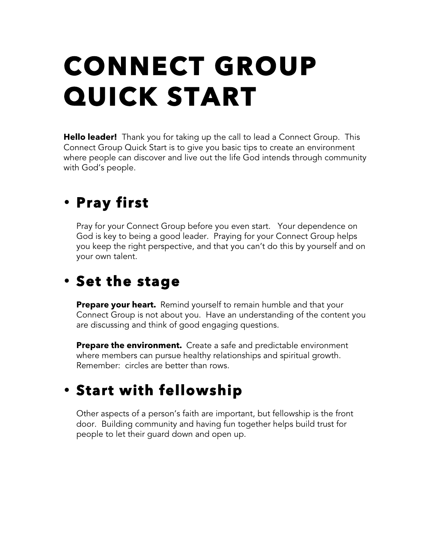# **CONNECT GROUP QUICK START**

**Hello leader!** Thank you for taking up the call to lead a Connect Group. This Connect Group Quick Start is to give you basic tips to create an environment where people can discover and live out the life God intends through community with God's people.

#### • **Pray first**

Pray for your Connect Group before you even start. Your dependence on God is key to being a good leader. Praying for your Connect Group helps you keep the right perspective, and that you can't do this by yourself and on your own talent.

#### • **Set the stage**

**Prepare your heart.** Remind yourself to remain humble and that your Connect Group is not about you. Have an understanding of the content you are discussing and think of good engaging questions.

**Prepare the environment.** Create a safe and predictable environment where members can pursue healthy relationships and spiritual growth. Remember: circles are better than rows.

## • **Start with fellowship**

Other aspects of a person's faith are important, but fellowship is the front door. Building community and having fun together helps build trust for people to let their guard down and open up.